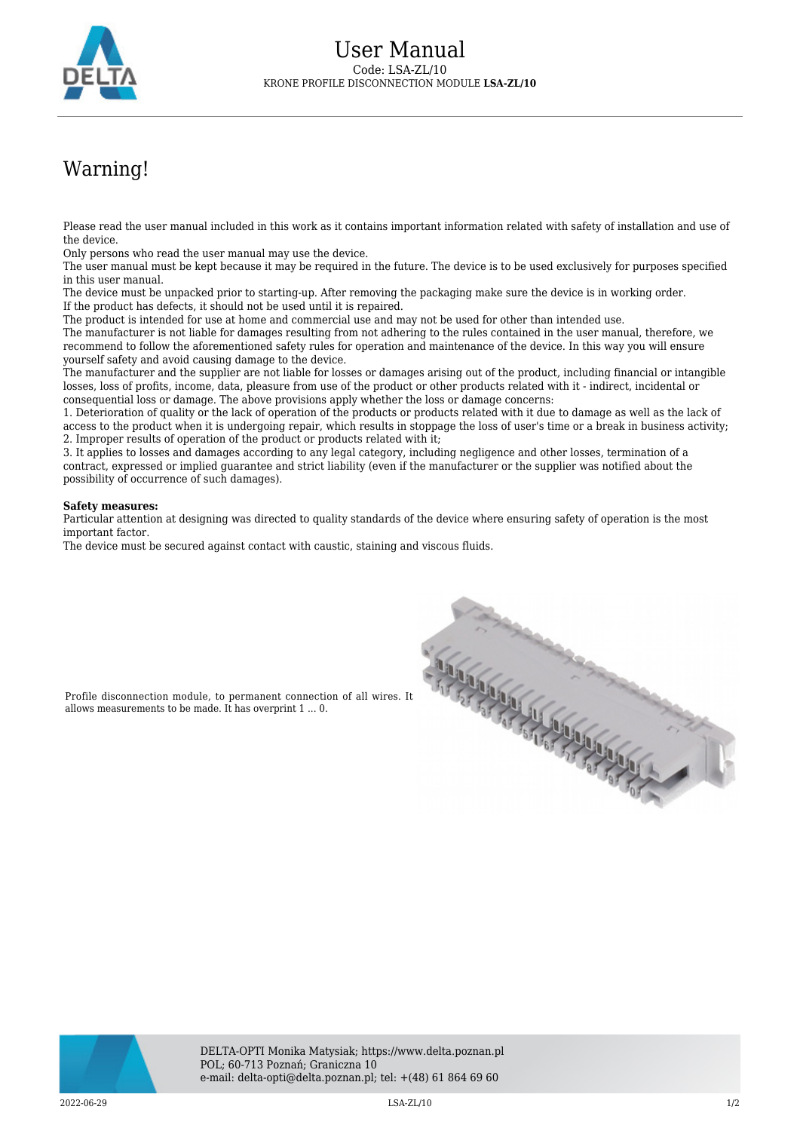

## Warning!

Please read the user manual included in this work as it contains important information related with safety of installation and use of the device.

Only persons who read the user manual may use the device.

The user manual must be kept because it may be required in the future. The device is to be used exclusively for purposes specified in this user manual.

The device must be unpacked prior to starting-up. After removing the packaging make sure the device is in working order. If the product has defects, it should not be used until it is repaired.

The product is intended for use at home and commercial use and may not be used for other than intended use.

The manufacturer is not liable for damages resulting from not adhering to the rules contained in the user manual, therefore, we recommend to follow the aforementioned safety rules for operation and maintenance of the device. In this way you will ensure yourself safety and avoid causing damage to the device.

The manufacturer and the supplier are not liable for losses or damages arising out of the product, including financial or intangible losses, loss of profits, income, data, pleasure from use of the product or other products related with it - indirect, incidental or consequential loss or damage. The above provisions apply whether the loss or damage concerns:

1. Deterioration of quality or the lack of operation of the products or products related with it due to damage as well as the lack of access to the product when it is undergoing repair, which results in stoppage the loss of user's time or a break in business activity; 2. Improper results of operation of the product or products related with it;

3. It applies to losses and damages according to any legal category, including negligence and other losses, termination of a contract, expressed or implied guarantee and strict liability (even if the manufacturer or the supplier was notified about the possibility of occurrence of such damages).

## **Safety measures:**

Particular attention at designing was directed to quality standards of the device where ensuring safety of operation is the most important factor.

The device must be secured against contact with caustic, staining and viscous fluids.



Profile disconnection module, to permanent connection of all wires. It allows measurements to be made. It has overprint 1 ... 0.